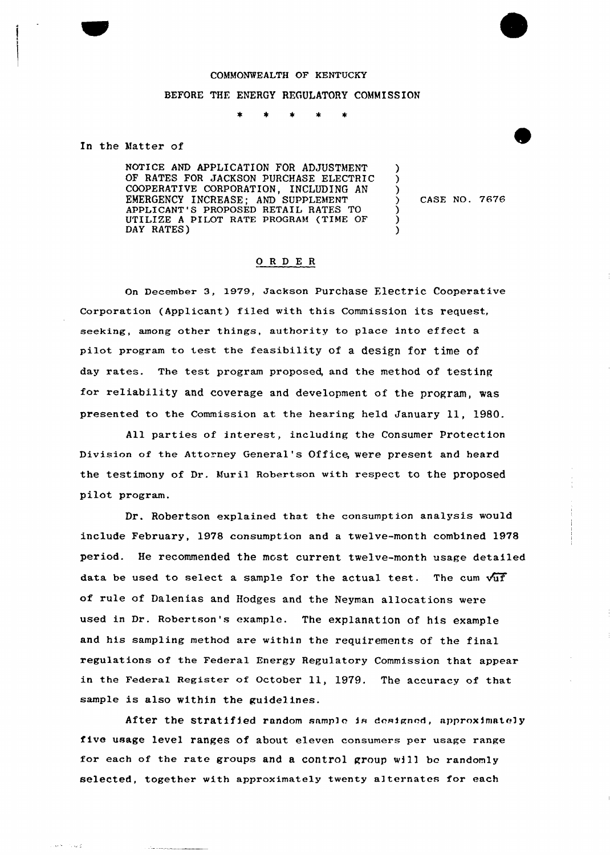## COMMONWEALTH OF KENTUCKY BEFORE THE ENERGY REGULATORY COMMISSION

In the Matter of

**Stringer ALC** 

NOTICE AND APPLICATION FOR ADJUSTMENT OF RATES FOR JACKSON PURCHASE ELECTRIC COOPERATIUE CORPORATION, INCLUDING AN EMERGENCY INCREASE; AND SUPPLEMENT APPLICANT'S PROPOSED RETAIL RATES TO UTILIZE <sup>A</sup> PILOT RATE PROGRAM (TIME OF DAY RATES)

) CASE NO. '7676

 $\lambda$ ) )

> ) ) )

## ORDER

on December 3, 1979, Jackson Purchase Electric Cooperative Corporation (Applicant) filed with this Commission its request, seeking, among other things, authority to place into effect a pilot program to test the feasibility of a design for time of day rates. The test program proposed, and the method of testing for reliability and coverage and development of the program, was presented to the Commission at the hearing held January 11, 1980.

All parties of interest, including the Consumer Protection Division of the Attorney General's Office, were present and heard the testimony of Dr. Muril Robertson with respect to the proposed pilot program.

Dr. Robertson explained that the consumption analysis would include February, 1978 consumption and a twelve-month combined 1978 period. He recommended the most current twelve-month usage detailed data be used to select a sample for the actual test. The cum  $\sqrt{u}$ of rule of Dalenias and Hodges and the Neyman allocations were used in Dr. Robertson's example. The explanation of his example and his sampling method are within the requirements of the final regulations of the Federal Energy Regulatory Commission that appear in the Federal Register of October 11, 1979. The accuracy of that sample is also within the guidelines.

After the stratified random sample is designed, approximately five usage level ranges of about eleven consumers per usage range for each of the rate groups and a control group will be randomly selected, together with approximately twenty alternates for each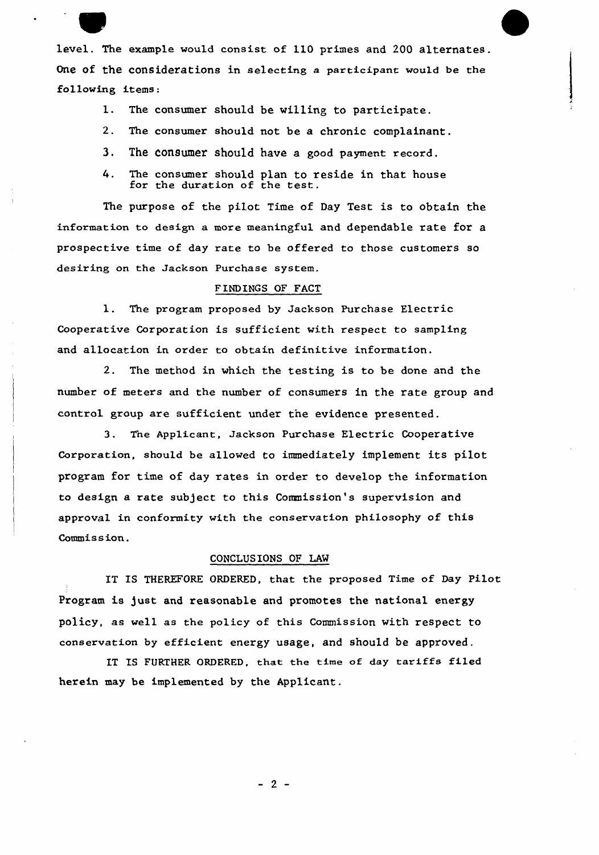level. The example would consist of 110 primes and 200 alternates. One of the considerations in selecting a participant would be the following items:

- 1. The consumer should be willing to participate.
- 2. The consumer should not be a chronic complainant.
- 3. The consumer should have a good payment record.
- 4. The consumer should plan to reside in that house for the duration of the test.

The purpose of the pilot Time of Day Test is to obtain the information to design a more meaningful and dependable rate for a prospective time of day rate to be offered to those customers so desiring on the Jackson Purchase system.

## FINDINGS OF FACT

1. The program proposed by Jackson Purchase Electric Coopexative Corporation is sufficient with respect to sampling and allocation in order to obtain definitive infoxmation.

2. The method in which the testing is to be done and the numbex of meters and the number of consumers in the rate group and control group are sufficient under the evidence presented.

3. The Applicant, Jackson Purchase Electric Cooperative Corpoxation, should be allowed to immediately implement its pilot program fox'ime of day rates in order to develop the information to design a rate subject to this Commission's supervision and appxoval in conformity with the consexvation philosophy of this Commission.

## CONCLUSIONS OF LAN

IT IS THEREFORE ORDERED, that the proposed Time of Day Pilot Program is just and reasonable and promotes the national energy policy, as well as the policy of this Commission with respect to conservation by efficient energy usage, and should be approved.

IT IS FURTHER ORDERED, that the time of day tariffs filed herein may be implemented by the Applicant.

 $-2-$